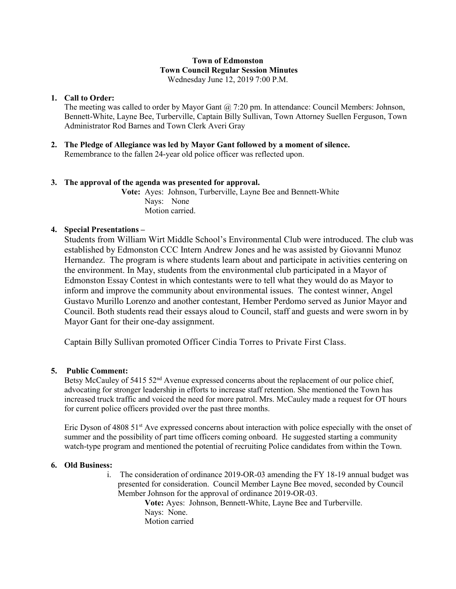### **Town of Edmonston Town Council Regular Session Minutes** Wednesday June 12, 2019 7:00 P.M.

**1. Call to Order:** 

The meeting was called to order by Mayor Gant  $\omega$  7:20 pm. In attendance: Council Members: Johnson, Bennett-White, Layne Bee, Turberville, Captain Billy Sullivan, Town Attorney Suellen Ferguson, Town Administrator Rod Barnes and Town Clerk Averi Gray

**2. The Pledge of Allegiance was led by Mayor Gant followed by a moment of silence.** Remembrance to the fallen 24-year old police officer was reflected upon.

# **3. The approval of the agenda was presented for approval.**

**Vote:** Ayes: Johnson, Turberville, Layne Bee and Bennett-White Nays: None Motion carried.

## **4. Special Presentations –**

Students from William Wirt Middle School's Environmental Club were introduced. The club was established by Edmonston CCC Intern Andrew Jones and he was assisted by Giovanni Munoz Hernandez. The program is where students learn about and participate in activities centering on the environment. In May, students from the environmental club participated in a Mayor of Edmonston Essay Contest in which contestants were to tell what they would do as Mayor to inform and improve the community about environmental issues. The contest winner, Angel Gustavo Murillo Lorenzo and another contestant, Hember Perdomo served as Junior Mayor and Council. Both students read their essays aloud to Council, staff and guests and were sworn in by Mayor Gant for their one-day assignment.

Captain Billy Sullivan promoted Officer Cindia Torres to Private First Class.

## **5. Public Comment:**

Betsy McCauley of 5415 52<sup>nd</sup> Avenue expressed concerns about the replacement of our police chief, advocating for stronger leadership in efforts to increase staff retention. She mentioned the Town has increased truck traffic and voiced the need for more patrol. Mrs. McCauley made a request for OT hours for current police officers provided over the past three months.

Eric Dyson of 4808 51<sup>st</sup> Ave expressed concerns about interaction with police especially with the onset of summer and the possibility of part time officers coming onboard. He suggested starting a community watch-type program and mentioned the potential of recruiting Police candidates from within the Town.

## **6. Old Business:**

i. The consideration of ordinance 2019-OR-03 amending the FY 18-19 annual budget was presented for consideration. Council Member Layne Bee moved, seconded by Council Member Johnson for the approval of ordinance 2019-OR-03.

**Vote:** Ayes: Johnson, Bennett-White, Layne Bee and Turberville. Nays: None. Motion carried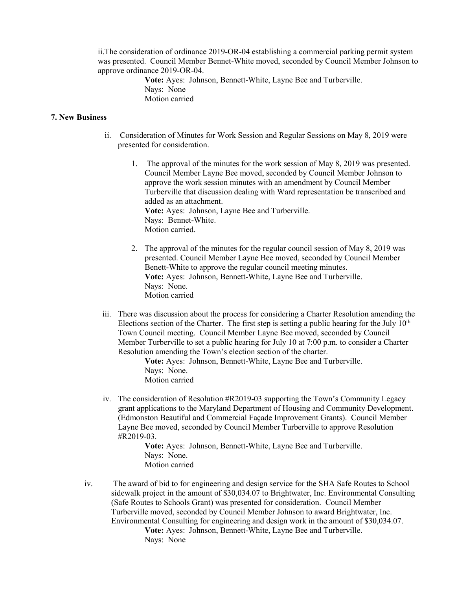ii.The consideration of ordinance 2019-OR-04 establishing a commercial parking permit system was presented. Council Member Bennet-White moved, seconded by Council Member Johnson to approve ordinance 2019-OR-04.

> **Vote:** Ayes: Johnson, Bennett-White, Layne Bee and Turberville. Nays: None Motion carried

#### **7. New Business**

- ii. Consideration of Minutes for Work Session and Regular Sessions on May 8, 2019 were presented for consideration.
	- 1. The approval of the minutes for the work session of May 8, 2019 was presented. Council Member Layne Bee moved, seconded by Council Member Johnson to approve the work session minutes with an amendment by Council Member Turberville that discussion dealing with Ward representation be transcribed and added as an attachment. **Vote:** Ayes: Johnson, Layne Bee and Turberville. Nays: Bennet-White. Motion carried.
	- 2. The approval of the minutes for the regular council session of May 8, 2019 was presented. Council Member Layne Bee moved, seconded by Council Member Benett-White to approve the regular council meeting minutes. **Vote:** Ayes: Johnson, Bennett-White, Layne Bee and Turberville. Nays: None. Motion carried
- iii. There was discussion about the process for considering a Charter Resolution amending the Elections section of the Charter. The first step is setting a public hearing for the July  $10<sup>th</sup>$ Town Council meeting. Council Member Layne Bee moved, seconded by Council Member Turberville to set a public hearing for July 10 at 7:00 p.m. to consider a Charter Resolution amending the Town's election section of the charter.

**Vote:** Ayes: Johnson, Bennett-White, Layne Bee and Turberville. Nays: None. Motion carried

iv. The consideration of Resolution #R2019-03 supporting the Town's Community Legacy grant applications to the Maryland Department of Housing and Community Development. (Edmonston Beautiful and Commercial Façade Improvement Grants). Council Member Layne Bee moved, seconded by Council Member Turberville to approve Resolution #R2019-03.

> **Vote:** Ayes: Johnson, Bennett-White, Layne Bee and Turberville. Nays: None. Motion carried

iv. The award of bid to for engineering and design service for the SHA Safe Routes to School sidewalk project in the amount of \$30,034.07 to Brightwater, Inc. Environmental Consulting (Safe Routes to Schools Grant) was presented for consideration. Council Member Turberville moved, seconded by Council Member Johnson to award Brightwater, Inc. Environmental Consulting for engineering and design work in the amount of \$30,034.07. **Vote:** Ayes: Johnson, Bennett-White, Layne Bee and Turberville. Nays: None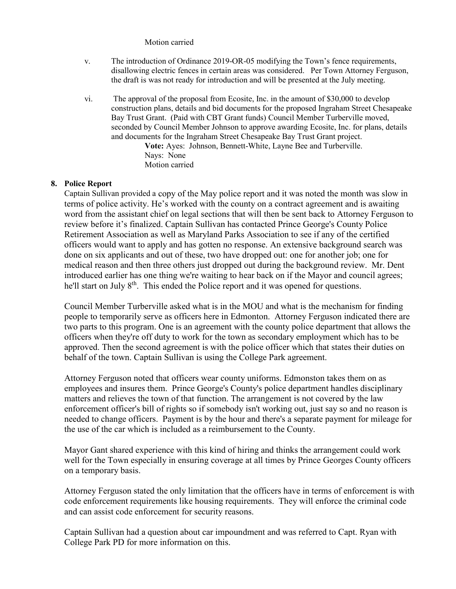#### Motion carried

- v. The introduction of Ordinance 2019-OR-05 modifying the Town's fence requirements, disallowing electric fences in certain areas was considered. Per Town Attorney Ferguson, the draft is was not ready for introduction and will be presented at the July meeting.
- vi. The approval of the proposal from Ecosite, Inc. in the amount of \$30,000 to develop construction plans, details and bid documents for the proposed Ingraham Street Chesapeake Bay Trust Grant. (Paid with CBT Grant funds) Council Member Turberville moved, seconded by Council Member Johnson to approve awarding Ecosite, Inc. for plans, details and documents for the Ingraham Street Chesapeake Bay Trust Grant project.

**Vote:** Ayes: Johnson, Bennett-White, Layne Bee and Turberville. Nays: None Motion carried

### **8. Police Report**

Captain Sullivan provided a copy of the May police report and it was noted the month was slow in terms of police activity. He's worked with the county on a contract agreement and is awaiting word from the assistant chief on legal sections that will then be sent back to Attorney Ferguson to review before it's finalized. Captain Sullivan has contacted Prince George's County Police Retirement Association as well as Maryland Parks Association to see if any of the certified officers would want to apply and has gotten no response. An extensive background search was done on six applicants and out of these, two have dropped out: one for another job; one for medical reason and then three others just dropped out during the background review. Mr. Dent introduced earlier has one thing we're waiting to hear back on if the Mayor and council agrees; he'll start on July 8<sup>th</sup>. This ended the Police report and it was opened for questions.

Council Member Turberville asked what is in the MOU and what is the mechanism for finding people to temporarily serve as officers here in Edmonton. Attorney Ferguson indicated there are two parts to this program. One is an agreement with the county police department that allows the officers when they're off duty to work for the town as secondary employment which has to be approved. Then the second agreement is with the police officer which that states their duties on behalf of the town. Captain Sullivan is using the College Park agreement.

Attorney Ferguson noted that officers wear county uniforms. Edmonston takes them on as employees and insures them. Prince George's County's police department handles disciplinary matters and relieves the town of that function. The arrangement is not covered by the law enforcement officer's bill of rights so if somebody isn't working out, just say so and no reason is needed to change officers. Payment is by the hour and there's a separate payment for mileage for the use of the car which is included as a reimbursement to the County.

Mayor Gant shared experience with this kind of hiring and thinks the arrangement could work well for the Town especially in ensuring coverage at all times by Prince Georges County officers on a temporary basis.

Attorney Ferguson stated the only limitation that the officers have in terms of enforcement is with code enforcement requirements like housing requirements. They will enforce the criminal code and can assist code enforcement for security reasons.

Captain Sullivan had a question about car impoundment and was referred to Capt. Ryan with College Park PD for more information on this.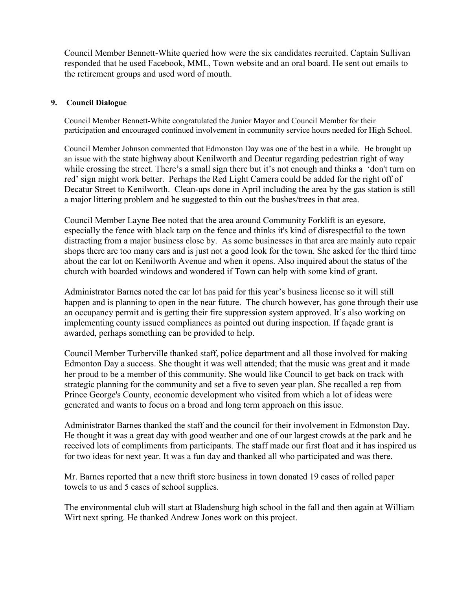Council Member Bennett-White queried how were the six candidates recruited. Captain Sullivan responded that he used Facebook, MML, Town website and an oral board. He sent out emails to the retirement groups and used word of mouth.

## **9. Council Dialogue**

Council Member Bennett-White congratulated the Junior Mayor and Council Member for their participation and encouraged continued involvement in community service hours needed for High School.

Council Member Johnson commented that Edmonston Day was one of the best in a while. He brought up an issue with the state highway about Kenilworth and Decatur regarding pedestrian right of way while crossing the street. There's a small sign there but it's not enough and thinks a 'don't turn on red' sign might work better. Perhaps the Red Light Camera could be added for the right off of Decatur Street to Kenilworth. Clean-ups done in April including the area by the gas station is still a major littering problem and he suggested to thin out the bushes/trees in that area.

Council Member Layne Bee noted that the area around Community Forklift is an eyesore, especially the fence with black tarp on the fence and thinks it's kind of disrespectful to the town distracting from a major business close by. As some businesses in that area are mainly auto repair shops there are too many cars and is just not a good look for the town. She asked for the third time about the car lot on Kenilworth Avenue and when it opens. Also inquired about the status of the church with boarded windows and wondered if Town can help with some kind of grant.

Administrator Barnes noted the car lot has paid for this year's business license so it will still happen and is planning to open in the near future. The church however, has gone through their use an occupancy permit and is getting their fire suppression system approved. It's also working on implementing county issued compliances as pointed out during inspection. If façade grant is awarded, perhaps something can be provided to help.

Council Member Turberville thanked staff, police department and all those involved for making Edmonton Day a success. She thought it was well attended; that the music was great and it made her proud to be a member of this community. She would like Council to get back on track with strategic planning for the community and set a five to seven year plan. She recalled a rep from Prince George's County, economic development who visited from which a lot of ideas were generated and wants to focus on a broad and long term approach on this issue.

Administrator Barnes thanked the staff and the council for their involvement in Edmonston Day. He thought it was a great day with good weather and one of our largest crowds at the park and he received lots of compliments from participants. The staff made our first float and it has inspired us for two ideas for next year. It was a fun day and thanked all who participated and was there.

Mr. Barnes reported that a new thrift store business in town donated 19 cases of rolled paper towels to us and 5 cases of school supplies.

The environmental club will start at Bladensburg high school in the fall and then again at William Wirt next spring. He thanked Andrew Jones work on this project.